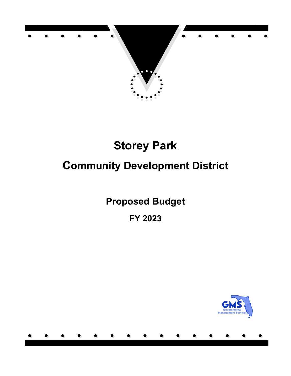

# **Community Development District**

**Proposed Budget**

**FY 2023**

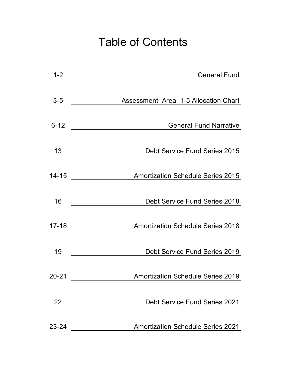# Table of Contents

| $1 - 2$   | <b>General Fund</b>                         |
|-----------|---------------------------------------------|
| $3 - 5$   | <b>Assessment Area 1-5 Allocation Chart</b> |
| $6 - 12$  | <b>General Fund Narrative</b>               |
| 13        | Debt Service Fund Series 2015               |
| $14 - 15$ | <b>Amortization Schedule Series 2015</b>    |
| 16        | Debt Service Fund Series 2018               |
| $17 - 18$ | <b>Amortization Schedule Series 2018</b>    |
| 19        | Debt Service Fund Series 2019               |
| $20 - 21$ | <b>Amortization Schedule Series 2019</b>    |
| 22        | <b>Debt Service Fund Series 2021</b>        |
| 23-24     | <b>Amortization Schedule Series 2021</b>    |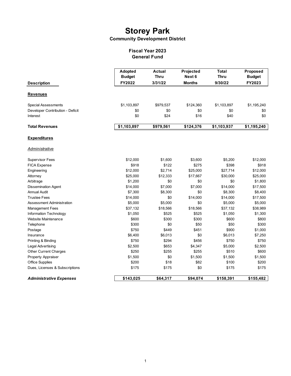**Community Development District**

### **General Fund Fiscal Year 2023**

| <b>Description</b>               | Adopted<br><b>Budget</b><br>FY2022 | <b>Actual</b><br><b>Thru</b><br>3/31/22 | Projected<br>Next 6<br><b>Months</b> | <b>Total</b><br><b>Thru</b><br>9/30/22 | Proposed<br><b>Budget</b><br>FY2023 |
|----------------------------------|------------------------------------|-----------------------------------------|--------------------------------------|----------------------------------------|-------------------------------------|
| <u>Revenues</u>                  |                                    |                                         |                                      |                                        |                                     |
| Special Assessments              | \$1,103,897                        | \$979,537                               | \$124,360                            | \$1,103,897                            | \$1,195,240                         |
| Developer Contribution - Deficit | \$0                                | \$0                                     | \$0                                  | \$0                                    | \$0                                 |
| Interest                         | \$0                                | \$24                                    | \$16                                 | \$40                                   | \$0                                 |
| <b>Total Revenues</b>            | \$1,103,897                        | \$979,561                               | \$124,376                            | \$1,103,937                            | \$1,195,240                         |
| <b>Expenditures</b>              |                                    |                                         |                                      |                                        |                                     |
| <b>Administrative</b>            |                                    |                                         |                                      |                                        |                                     |
| <b>Supervisor Fees</b>           | \$12,000                           | \$1,600                                 | \$3,600                              | \$5,200                                | \$12,000                            |
| <b>FICA Expense</b>              | \$918                              | \$122                                   | \$275                                | \$398                                  | \$918                               |
| Engineering                      | \$12,000                           | \$2,714                                 | \$25,000                             | \$27,714                               | \$12,000                            |
| Attorney                         | \$25,000                           | \$12,333                                | \$17,667                             | \$30,000                               | \$25,000                            |
| Arbitrage                        | \$1,200                            | \$0                                     | \$0                                  | \$0                                    | \$1,800                             |
| <b>Dissemination Agent</b>       | \$14,000                           | \$7,000                                 | \$7,000                              | \$14,000                               | \$17,500                            |
| <b>Annual Audit</b>              | \$7,300                            | \$8,300                                 | \$0                                  | \$8,300                                | \$8,400                             |
| <b>Trustee Fees</b>              | \$14,000                           | \$0                                     | \$14,000                             | \$14,000                               | \$17,500                            |
| Assessment Administration        | \$5,000                            | \$5,000                                 | \$0                                  | \$5,000                                | \$5,000                             |
| <b>Management Fees</b>           | \$37,132                           | \$18,566                                | \$18,566                             | \$37,132                               | \$38,989                            |
| Information Technology           | \$1,050                            | \$525                                   | \$525                                | \$1,050                                | \$1,300                             |
| Website Maintenance              | \$600                              | \$300                                   | \$300                                | \$600                                  | \$800                               |
| Telephone                        | \$300                              | \$0                                     | \$50                                 | \$50                                   | \$300                               |
| Postage                          | \$750                              | \$449                                   | \$451                                | \$900                                  | \$1,000                             |
| Insurance                        | \$6,400                            | \$6,013                                 | \$0                                  | \$6,013                                | \$7,250                             |
| Printing & Binding               | \$750                              | \$294                                   | \$456                                | \$750                                  | \$750                               |
| Legal Advertising                | \$2,500                            | \$653                                   | \$4,347                              | \$5,000                                | \$2,500                             |
| <b>Other Current Charges</b>     | \$250                              | \$255                                   | \$255                                | \$510                                  | \$600                               |
| <b>Property Appraiser</b>        | \$1,500                            | \$0                                     | \$1,500                              | \$1,500                                | \$1,500                             |
| <b>Office Supplies</b>           | \$200                              | \$18                                    | \$82                                 | \$100                                  | \$200                               |
| Dues, Licenses & Subscriptions   | \$175                              | \$175                                   | \$0                                  | \$175                                  | \$175                               |
| <b>Administrative Expenses</b>   | \$143,025                          | \$64,317                                | \$94,074                             | \$158,391                              | \$155,482                           |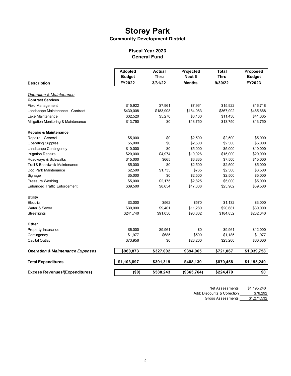### **Community Development District**

#### **General Fund Fiscal Year 2023**

|                                             | Adopted       | <b>Actual</b> | Projected     | <b>Total</b> | Proposed      |
|---------------------------------------------|---------------|---------------|---------------|--------------|---------------|
|                                             | <b>Budget</b> | <b>Thru</b>   | Next 6        | <b>Thru</b>  | <b>Budget</b> |
| <b>Description</b>                          | FY2022        | 3/31/22       | <b>Months</b> | 9/30/22      | FY2023        |
| <b>Operation &amp; Maintenance</b>          |               |               |               |              |               |
| <b>Contract Services</b>                    |               |               |               |              |               |
| <b>Field Management</b>                     | \$15,922      | \$7,961       | \$7,961       | \$15,922     | \$16,718      |
| Landscape Maintenance - Contract            | \$430,008     | \$183,908     | \$184,083     | \$367,992    | \$465,668     |
| Lake Maintenance                            | \$32,520      | \$5,270       | \$6,160       | \$11,430     | \$41,305      |
| Mitigation Monitoring & Maintenance         | \$13,750      | \$0           | \$13,750      | \$13,750     | \$13,750      |
| <b>Repairs &amp; Maintenance</b>            |               |               |               |              |               |
| Repairs - General                           | \$5,000       | \$0           | \$2,500       | \$2,500      | \$5,000       |
| <b>Operating Supplies</b>                   | \$5,000       | \$0           | \$2,500       | \$2,500      | \$5,000       |
| Landscape Contingency                       | \$10,000      | \$0           | \$5,000       | \$5,000      | \$10,000      |
| <b>Irrigation Repairs</b>                   | \$20,000      | \$4,974       | \$10,026      | \$15,000     | \$20,000      |
| Roadways & Sidewalks                        | \$15,000      | \$665         | \$6,835       | \$7,500      | \$15,000      |
| Trail & Boardwalk Maintenance               | \$5,000       | \$0           | \$2,500       | \$2,500      | \$5,000       |
| Dog Park Maintenance                        | \$2,500       | \$1,735       | \$765         | \$2,500      | \$3,500       |
| Signage                                     | \$5,000       | \$0           | \$2,500       | \$2,500      | \$5,000       |
| Pressure Washing                            | \$5,000       | \$2,175       | \$2,825       | \$5,000      | \$5,000       |
| <b>Enhanced Traffic Enforcement</b>         | \$39,500      | \$8,654       | \$17,308      | \$25,962     | \$39,500      |
| <b>Utility</b>                              |               |               |               |              |               |
| Electric                                    | \$3,000       | \$562         | \$570         | \$1,132      | \$3,000       |
| Water & Sewer                               | \$30,000      | \$9,401       | \$11,280      | \$20,681     | \$30,000      |
| Streetlights                                | \$241,740     | \$91,050      | \$93,802      | \$184,852    | \$282,340     |
| Other                                       |               |               |               |              |               |
| Property Insurance                          | \$6,000       | \$9,961       | \$0           | \$9,961      | \$12,000      |
| Contingency                                 | \$1,977       | \$685         | \$500         | \$1,185      | \$1,977       |
| Capital Outlay                              | \$73,956      | \$0           | \$23,200      | \$23,200     | \$60,000      |
| <b>Operation &amp; Maintenance Expenses</b> | \$960,873     | \$327,002     | \$394,065     | \$721,067    | \$1,039,758   |
| <b>Total Expenditures</b>                   | \$1,103,897   | \$391,319     | \$488,139     | \$879,458    | \$1,195,240   |
| <b>Excess Revenues/(Expenditures)</b>       | (50)          | \$588,243     | (\$363,764)   | \$224,479    | \$0           |
|                                             |               |               |               |              |               |

Net Assessments \$1,195,240 Add: Discounts & Collection \$76,292 Gross Assessments \$1,271,532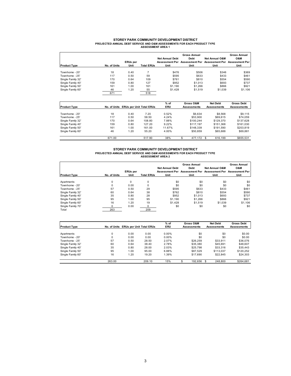## **STOREY PARK COMMUNITY DEVELOPMENT DISTRICT PROJECTED ANNUAL DEBT SERVICE AND O&M ASSESSMENTS FOR EACH PRODUCT TYPE ASSESSMENT AREA 1**

|                     |              |                 |                   |                        | <b>Gross Annual</b> |                                                                                          | <b>Gross Annual</b> |
|---------------------|--------------|-----------------|-------------------|------------------------|---------------------|------------------------------------------------------------------------------------------|---------------------|
|                     |              | <b>ERUs per</b> |                   | <b>Net Annual Debt</b> | <b>Debt</b>         | <b>Net Annual O&amp;M</b><br>Assessment Per Assessment Per Assessment Per Assessment Per | O&M                 |
| <b>Product Type</b> | No. of Units | Unit            | <b>Total ERUs</b> | Unit                   | Unit                | Unit                                                                                     | Unit                |
| Townhome - 20'      | 18           | 0.40            |                   | \$476                  | \$506               | \$346                                                                                    | \$369               |
| Townhome - 25'      | 117          | 0.50            | 59                | \$595                  | \$633               | \$433                                                                                    | \$461               |
| Single Family 32'   | 170          | 0.64            | 109               | \$761                  | \$810               | \$554                                                                                    | \$590               |
| Single Family 40'   | 159          | 0.80            | 127               | \$952                  | \$1,013             | \$693                                                                                    | \$737               |
| Single Family 50'   | 161          | 1.00            | 161               | \$1,190                | \$1,266             | \$866                                                                                    | \$921               |
| Single Family 60'   | 46           | 1.20            | 55                | \$1,428                | \$1.519             | \$1,039                                                                                  | \$1,106             |
|                     | 671          |                 | 518               |                        |                     |                                                                                          |                     |

| <b>Product Type</b> |        | No. of Units ERUs per Unit Total ERUs |        | $%$ of<br>ERU | Gross O&M<br><b>Assessments</b> | <b>Net Debt</b><br><b>Assessments</b> | <b>Gross Debt</b><br><b>Assessments</b> |
|---------------------|--------|---------------------------------------|--------|---------------|---------------------------------|---------------------------------------|-----------------------------------------|
| Townhome - 20'      | 18     | 0.40                                  | 7.20   | 0.52%         | \$6.634                         | \$8.568                               | \$9.115                                 |
| Townhome - 25'      | 117    | 0.50                                  | 58.50  | 4.24%         | \$53,900                        | \$69.615                              | \$74.059                                |
| Single Family 32'   | 170    | 0.64                                  | 108.80 | 7.88%         | \$100.244                       | \$129,370                             | \$137.628                               |
| Single Family 40'   | 159    | 0.80                                  | 127.20 | 9.22%         | \$117.197                       | \$151.368                             | \$161.030                               |
| Single Family 50'   | 161    | 1.00                                  | 161.00 | 11.67%        | \$148.339                       | \$191.590                             | \$203.819                               |
| Single Family 60'   | 46     | 1.20                                  | 55.20  | 4.00%         | \$50.859                        | \$65,688                              | \$69.881                                |
|                     | 671.00 |                                       | 517.90 | 38%           | 477,172                         | 616.199<br>\$.                        | \$655,531                               |

#### **ASSESSMENT AREA 2 STOREY PARK COMMUNITY DEVELOPMENT DISTRICT PROJECTED ANNUAL DEBT SERVICE AND O&M ASSESSMENTS FOR EACH PRODUCT TYPE**

|                     |              |                         |                   | <b>Net Annual Debt</b> | <b>Gross Annual</b><br><b>Debt</b> | <b>Net Annual O&amp;M</b>                                           | <b>Gross Annual</b><br><b>O&amp;M</b> |
|---------------------|--------------|-------------------------|-------------------|------------------------|------------------------------------|---------------------------------------------------------------------|---------------------------------------|
| <b>Product Type</b> | No. of Units | <b>ERUs per</b><br>Unit | <b>Total ERUs</b> | Unit                   | Unit                               | Assessment Per Assessment Per Assessment Per Assessment Per<br>Unit | Unit                                  |
|                     |              |                         |                   |                        |                                    |                                                                     |                                       |
| Apartments          | $\Omega$     | $\Omega$                | 0                 | \$0                    | \$0                                | \$0                                                                 | \$0                                   |
| Townhome - 20'      | $\Omega$     | 0.00                    | $\Omega$          | \$0                    | \$0                                | \$0                                                                 | \$0                                   |
| Townhome - 25'      | 57           | 0.50                    | 29                | \$595                  | \$633                              | \$433                                                               | \$461                                 |
| Single Family 32'   | 60           | 0.64                    | 38                | \$762                  | \$810                              | \$554                                                               | \$590                                 |
| Single Family 40'   | 35           | 0.80                    | 28                | \$952                  | \$1,013                            | \$693                                                               | \$737                                 |
| Single Family 50'   | 95           | 1.00                    | 95                | \$1,190                | \$1,266                            | \$866                                                               | \$921                                 |
| Single Family 60'   | 16           | 1.20                    | 19                | \$1,428                | \$1.519                            | \$1,039                                                             | \$1,106                               |
| Single Family 70'   |              | 0.00                    | 0                 | \$0                    | \$0                                | \$0                                                                 | \$0                                   |
| Total               | 263          |                         | 209               |                        |                                    |                                                                     |                                       |

| <b>Product Type</b> |        | No. of Units ERUs per Unit Total ERUs |        | $%$ of<br><b>ERU</b> | Gross O&M<br><b>Assessments</b> | <b>Net Debt</b><br><b>Assessments</b> | <b>Gross Debt</b><br><b>Assessments</b> |
|---------------------|--------|---------------------------------------|--------|----------------------|---------------------------------|---------------------------------------|-----------------------------------------|
|                     |        |                                       |        |                      |                                 |                                       |                                         |
| Apartments          | 0      | 0.00                                  | 0.00   | 0.00%                | \$0                             | \$0                                   | \$0.00                                  |
| Townhome - 20'      | 0      | 0.00                                  | 0.00   | 0.00%                | \$0                             | \$0                                   | \$0.00                                  |
| Townhome - 25'      | 57     | 0.50                                  | 28.50  | 2.07%                | \$26,259                        | \$33.911                              | \$36,076                                |
| Single Family 32'   | 60     | 0.64                                  | 38.40  | 2.78%                | \$35,380                        | \$45.691                              | \$48,607                                |
| Single Family 40'   | 35     | 0.80                                  | 28.00  | 2.03%                | \$25.798                        | \$33.316                              | \$35,443                                |
| Single Family 50'   | 95     | 1.00                                  | 95.00  | 6.88%                | \$87.529                        | \$113.037                             | \$120.252                               |
| Single Family 60'   | 16     | 1.20                                  | 19.20  | 1.39%                | \$17,690                        | \$22.845                              | \$24,303                                |
|                     | 263.00 |                                       | 209.10 | 15%                  | 192.656                         | 248.800                               | \$264,681                               |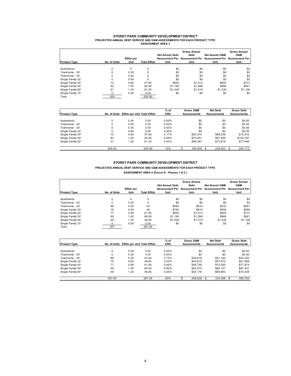#### **STOREY PARK COMMUNITY DEVELOPMENT DISTRICT PROJECTED ANNUAL DEBT SERVICE AND O&M ASSESSMENTS FOR EACH PRODUCT TYPE ASSESSMENT AREA 3**

| <b>Product Type</b> | No. of Units | <b>ERUs</b> per<br>Unit | <b>Total ERUs</b> | <b>Net Annual Debt</b><br>Unit | <b>Gross Annual</b><br>Debt<br>Assessment Per Assessment Per Assessment Per Assessment Per<br>Unit | <b>Net Annual O&amp;M</b><br>Unit | <b>Gross Annual</b><br><b>O&amp;M</b><br>Unit |
|---------------------|--------------|-------------------------|-------------------|--------------------------------|----------------------------------------------------------------------------------------------------|-----------------------------------|-----------------------------------------------|
| Apartments          | $\Omega$     | $\Omega$                | 0                 | \$0                            | \$0                                                                                                | \$0                               | \$0                                           |
| Townhome - 20'      | $\Omega$     | 0.00                    | $\mathbf 0$       | \$0                            | \$0                                                                                                | \$0                               | \$0                                           |
| Townhome - 25'      | $\Omega$     | 0.50                    | $\Omega$          | \$0                            | \$0                                                                                                | \$0                               | \$0                                           |
| Single Family 32'   | $\Omega$     | 0.64                    | $\Omega$          | \$0                            | \$0                                                                                                | \$0                               | \$0                                           |
| Single Family 40'   | 72           | 0.80                    | 57.60             | \$952                          | \$1,013                                                                                            | \$693                             | \$737                                         |
| Single Family 50'   | 82           | 1.00                    | 82.00             | \$1,190                        | \$1,266                                                                                            | \$866                             | \$921                                         |
| Single Family 60'   | 51           | 1.20                    | 61.20             | \$1.428                        | \$1,519                                                                                            | \$1,039                           | \$1,106                                       |
| Single Family 70'   |              | 0.00                    | 0.00              | \$0                            | \$0                                                                                                | \$0                               | \$0                                           |
| Total               | 205          |                         | 200.80            |                                |                                                                                                    |                                   |                                               |

| <b>Product Type</b> |        | No. of Units ERUs per Unit Total ERUs |        | $%$ of<br><b>ERU</b> | Gross O&M<br><b>Assessments</b> | <b>Net Debt</b><br><b>Assessments</b> | <b>Gross Debt</b><br><b>Assessments</b> |
|---------------------|--------|---------------------------------------|--------|----------------------|---------------------------------|---------------------------------------|-----------------------------------------|
|                     |        |                                       |        |                      |                                 |                                       |                                         |
| Apartments          |        | 0.00                                  | 0.00   | 0.00%                | \$0                             | \$0                                   | \$0.00                                  |
| Townhome - 20'      |        | 0.00                                  | 0.00   | $0.00\%$             | \$0                             | \$0                                   | \$0.00                                  |
| Townhome - 25'      |        | 0.50                                  | 0.00   | $0.00\%$             | \$0                             | \$0                                   | \$0.00                                  |
| Single Family 32'   |        | 0.64                                  | 0.00   | $0.00\%$             | \$0                             | \$0                                   | \$0.00                                  |
| Single Family 40'   | 72     | 0.80                                  | 57.60  | 4.17%                | \$53,070                        | \$68,536                              | \$72.910                                |
| Single Family 50'   | 82     | 1.00                                  | 82.00  | 5.94%                | \$75.551                        | \$97.569                              | \$103.797                               |
| Single Family 60'   | 51     | 1.20                                  | 61.20  | 4.43%                | \$56,387                        | \$72.818                              | \$77,466                                |
|                     | 205.00 |                                       | 200.80 | 15%                  | 185.009                         | 238.923                               | 254,173                                 |

#### **STOREY PARK COMMUNITY DEVELOPMENT DISTRICT PROJECTED ANNUAL DEBT SERVICE AND O&M ASSESSMENTS FOR EACH PRODUCT TYPE ASSESSMENT AREA 4 (Parcel K - Phases 1 & 2 )**

| <b>Product Type</b> | No. of Units | <b>ERUs</b> per<br>Unit | <b>Total ERUs</b> | <b>Net Annual Debt</b><br>Unit | <b>Gross Annual</b><br>Debt<br>Assessment Per Assessment Per Assessment Per Assessment Per<br>Unit | <b>Net Annual O&amp;M</b><br>Unit | <b>Gross Annual</b><br>O&M<br>Unit |
|---------------------|--------------|-------------------------|-------------------|--------------------------------|----------------------------------------------------------------------------------------------------|-----------------------------------|------------------------------------|
|                     |              |                         |                   |                                |                                                                                                    |                                   |                                    |
| Apartments          | 0            | $\Omega$                | 0                 | \$0                            | \$0                                                                                                | \$0                               | \$0                                |
| Townhome - 20'      | 0            | 0.00                    | $\Omega$          | \$0                            | \$0                                                                                                | \$0                               | \$0                                |
| Townhome - 25'      | 86           | 0.50                    | 43                | \$595                          | \$633                                                                                              | \$433                             | \$461                              |
| Single Family 32'   | 76           | 0.64                    | 49                | \$762                          | \$810                                                                                              | \$554                             | \$590                              |
| Single Family 40'   | 77           | 0.80                    | 61.60             | \$952                          | \$1,013                                                                                            | \$693                             | \$737                              |
| Single Family 50'   | 69           | 1.00                    | 69.00             | \$1,190                        | \$1,266                                                                                            | \$866                             | \$921                              |
| Single Family 60'   | 49           | 1.20                    | 58.80             | \$1,428                        | \$1,519                                                                                            | \$1,039                           | \$1,106                            |
| Single Family 70'   |              | 0.00                    | 0.00              | \$0                            | \$0                                                                                                | \$0                               | \$0                                |
| Total               | 357          |                         | 281.04            |                                |                                                                                                    |                                   |                                    |

|                     |        |                                       |        | $%$ of     | Gross O&M          | <b>Net Debt</b>    | <b>Gross Debt</b>  |
|---------------------|--------|---------------------------------------|--------|------------|--------------------|--------------------|--------------------|
| <b>Product Type</b> |        | No. of Units ERUs per Unit Total ERUs |        | <b>ERU</b> | <b>Assessments</b> | <b>Assessments</b> | <b>Assessments</b> |
|                     |        |                                       |        |            |                    |                    |                    |
| Apartments          | 0      | 0.00                                  | 0.00   | 0.00%      | \$0                | \$0                | \$0.00             |
| Townhome - 20'      | 0      | 0.00                                  | 0.00   | $0.00\%$   | \$0                | \$0                | \$0.00             |
| Townhome - 25'      | 86     | 0.50                                  | 43.00  | 3.12%      | \$39,618           | \$51.164           | \$54,430           |
| Single Family 32'   | 76     | 0.64                                  | 48.64  | 3.52%      | \$44,815           | \$57,875           | \$61,569           |
| Single Family 40'   | 77     | 0.80                                  | 61.60  | 4.46%      | \$56,756           | \$73.295           | \$77.974           |
| Single Family 50'   | 69     | 1.00                                  | 69.00  | 5.00%      | \$63.574           | \$82.101           | \$87.341           |
| Single Family 60'   | 49     | 1.20                                  | 58.80  | 4.26%      | \$54,176           | \$69.963           | \$74.429           |
|                     | 357.00 |                                       | 281.04 | 20%        | 258,939            | 334.398            | 355,742            |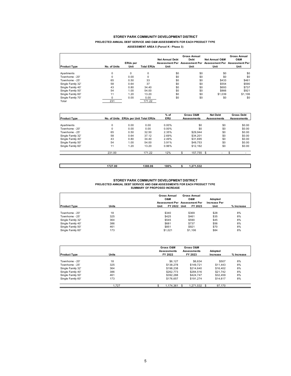#### **STOREY PARK COMMUNITY DEVELOPMENT DISTRICT PROJECTED ANNUAL DEBT SERVICE AND O&M ASSESSMENTS FOR EACH PRODUCT TYPE**

| ASSESSMENT AREA 5 (Parcel K - Phase 3) |  |  |  |  |  |
|----------------------------------------|--|--|--|--|--|
|----------------------------------------|--|--|--|--|--|

| <b>Product Type</b> | No. of Units | <b>ERUs per</b><br>Unit | <b>Total ERUs</b> | <b>Net Annual Debt</b><br>Unit | <b>Gross Annual</b><br><b>Debt</b><br>Unit | <b>Net Annual O&amp;M</b><br>Unit | <b>Gross Annual</b><br><b>O&amp;M</b><br>Assessment Per Assessment Per Assessment Per Assessment Per<br>Unit |
|---------------------|--------------|-------------------------|-------------------|--------------------------------|--------------------------------------------|-----------------------------------|--------------------------------------------------------------------------------------------------------------|
| Apartments          | 0            | 0                       | 0                 | \$0                            | \$0                                        | \$0                               | \$0                                                                                                          |
| Townhome - 20'      | 0            | 0.00                    | $\Omega$          | \$0                            | \$0                                        | \$0                               | \$0                                                                                                          |
| Townhome - 25'      | 65           | 0.50                    | 33                | \$0                            | \$0                                        | \$433                             | \$461                                                                                                        |
| Single Family 32'   | 58           | 0.64                    | 37                | \$0                            | \$0                                        | \$554                             | \$590                                                                                                        |
| Single Family 40'   | 43           | 0.80                    | 34.40             | \$0                            | \$0                                        | \$693                             | \$737                                                                                                        |
| Single Family 50'   | 54           | 1.00                    | 54.00             | \$0                            | \$0                                        | \$866                             | \$921                                                                                                        |
| Single Family 60'   | 11           | 1.20                    | 13.20             | \$0                            | \$0                                        | \$1,039                           | \$1,106                                                                                                      |
| Single Family 70'   | $\Omega$     | 0.00                    | 0.00              | \$0                            | \$0                                        | \$0                               | \$0                                                                                                          |
| Total               | 231          |                         | 171.22            |                                |                                            |                                   |                                                                                                              |

|                     |          |                                       |        | $%$ of     | Gross O&M          |          | <b>Net Debt</b>    | <b>Gross Debt</b>  |
|---------------------|----------|---------------------------------------|--------|------------|--------------------|----------|--------------------|--------------------|
| <b>Product Type</b> |          | No. of Units ERUs per Unit Total ERUs |        | <b>ERU</b> | <b>Assessments</b> |          | <b>Assessments</b> | <b>Assessments</b> |
|                     |          |                                       |        |            |                    |          |                    |                    |
| Apartments          | 0        | 0.00                                  | 0.00   | 0.00%      |                    | \$0      | \$0                | \$0.00             |
| Townhome - 20'      | $\Omega$ | 0.00                                  | 0.00   | 0.00%      |                    | \$0      | \$0                | \$0.00             |
| Townhome - 25'      | 65       | 0.50                                  | 32.50  | 2.35%      |                    | \$29.944 | \$0                | \$0.00             |
| Single Family 32'   | 58       | 0.64                                  | 37.12  | 2.69%      |                    | \$34.201 | \$0                | \$0.00             |
| Single Family 40'   | 43       | 0.80                                  | 34.40  | 2.49%      |                    | \$31.695 | \$0                | \$0.00             |
| Single Family 50'   | 54       | 1.00                                  | 54.00  | 3.91%      |                    | \$49.753 | \$0                | \$0.00             |
| Single Family 60'   | 11       | 1.20                                  | 13.20  | 0.96%      |                    | \$12.162 | \$0                | \$0.00             |
|                     | 231.00   |                                       | 171.22 | 12%        |                    | 157.755  | -                  |                    |
|                     |          |                                       |        |            |                    |          |                    |                    |
|                     |          |                                       |        |            |                    |          |                    |                    |

| 1727.00 | 1380.06 | 100% | 1.500<br>27.<br>1.532<br> |
|---------|---------|------|---------------------------|
|         |         |      |                           |

**STOREY PARK COMMUNITY DEVELOPMENT DISTRICT PROJECTED ANNUAL DEBT SERVICE AND O&M ASSESSMENTS FOR EACH PRODUCT TYPE SUMMARY OF PROPOSED INCREASE**

| <b>Product Type</b> | <b>Units</b> | <b>Gross Annual</b><br>O&M<br>Unit<br>FY 2022 | <b>Gross Annual</b><br>O&M<br>Assessment Per Assessment Per<br>FY 2023<br>Unit | Adopted<br><b>Increase Per</b><br>Unit | % Increase |
|---------------------|--------------|-----------------------------------------------|--------------------------------------------------------------------------------|----------------------------------------|------------|
|                     |              |                                               |                                                                                |                                        |            |
| Townhome - 20'      | 18           | \$340                                         | \$369                                                                          | \$28                                   | 8%         |
| Townhome - 25'      | 325          | \$425                                         | \$461                                                                          | \$35                                   | 8%         |
| Single Family 32'   | 364          | \$545                                         | \$590                                                                          | \$45                                   | 8%         |
| Single Family 40'   | 386          | \$681                                         | \$737                                                                          | \$56                                   | 8%         |
| Single Family 50'   | 461          | \$851                                         | \$921                                                                          | \$70                                   | 8%         |
| Single Family 60'   | 173          | \$1.021                                       | \$1,106                                                                        | \$84                                   | 8%         |

| <b>Product Type</b> | <b>Units</b> | Gross O&M<br><b>Assessments</b><br>FY 2022 | Gross O&M<br><b>Assessments</b><br>FY 2023 | Adopted<br>Increase | % Increase |
|---------------------|--------------|--------------------------------------------|--------------------------------------------|---------------------|------------|
| Townhome - 20'      | 18           | \$6.127                                    | \$6.634                                    | \$507               | 8%         |
| Townhome - 25'      | 325          | \$138,278                                  | \$149.721                                  | \$11,443            | 8%         |
| Single Family 32'   | 364          | \$198.238                                  | \$214,640                                  | \$16,402            | 8%         |
| Single Family 40'   | 386          | \$262,773                                  | \$284.516                                  | \$21.742            | 8%         |
| Single Family 50'   | 461          | \$392.288                                  | \$424.747                                  | \$32.459            | 8%         |
| Single Family 60'   | 173          | \$176.657                                  | \$191.274                                  | \$14,617            | 8%         |
|                     | .727         | 1,174,361                                  | 1,271,532                                  | 97,170              |            |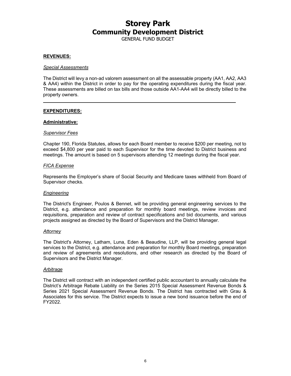GENERAL FUND BUDGET

#### **REVENUES:**

#### *Special Assessments*

The District will levy a non-ad valorem assessment on all the assessable property (AA1, AA2, AA3 & AA4) within the District in order to pay for the operating expenditures during the fiscal year. These assessments are billed on tax bills and those outside AA1-AA4 will be directly billed to the property owners.

#### **EXPENDITURES:**

#### **Administrative:**

#### *Supervisor Fees*

Chapter 190, Florida Statutes, allows for each Board member to receive \$200 per meeting, not to exceed \$4,800 per year paid to each Supervisor for the time devoted to District business and meetings. The amount is based on 5 supervisors attending 12 meetings during the fiscal year.

#### *FICA Expense*

Represents the Employer's share of Social Security and Medicare taxes withheld from Board of Supervisor checks.

#### *Engineering*

The District's Engineer, Poulos & Bennet, will be providing general engineering services to the District, e.g. attendance and preparation for monthly board meetings, review invoices and requisitions, preparation and review of contract specifications and bid documents, and various projects assigned as directed by the Board of Supervisors and the District Manager.

#### *Attorney*

The District's Attorney, Latham, Luna, Eden & Beaudine, LLP, will be providing general legal services to the District, e.g. attendance and preparation for monthly Board meetings, preparation and review of agreements and resolutions, and other research as directed by the Board of Supervisors and the District Manager.

#### *Arbitrage*

The District will contract with an independent certified public accountant to annually calculate the District's Arbitrage Rebate Liability on the Series 2015 Special Assessment Revenue Bonds & Series 2021 Special Assessment Revenue Bonds. The District has contracted with Grau & Associates for this service. The District expects to issue a new bond issuance before the end of FY2022.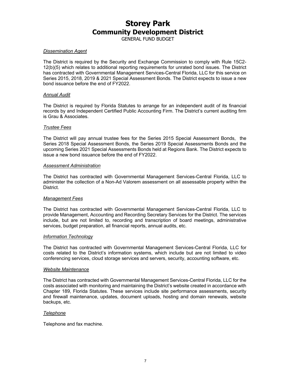GENERAL FUND BUDGET

#### *Dissemination Agent*

The District is required by the Security and Exchange Commission to comply with Rule 15C2- 12(b)(5) which relates to additional reporting requirements for unrated bond issues. The District has contracted with Governmental Management Services-Central Florida, LLC for this service on Series 2015, 2018, 2019 & 2021 Special Assessment Bonds. The District expects to issue a new bond issuance before the end of FY2022.

#### *Annual Audit*

The District is required by Florida Statutes to arrange for an independent audit of its financial records by and Independent Certified Public Accounting Firm. The District's current auditing firm is Grau & Associates.

#### *Trustee Fees*

The District will pay annual trustee fees for the Series 2015 Special Assessment Bonds, the Series 2018 Special Assessment Bonds, the Series 2019 Special Assessments Bonds and the upcoming Series 2021 Special Assessments Bonds held at Regions Bank. The District expects to issue a new bond issuance before the end of FY2022.

#### *Assessment Administration*

The District has contracted with Governmental Management Services-Central Florida, LLC to administer the collection of a Non-Ad Valorem assessment on all assessable property within the District.

#### *Management Fees*

The District has contracted with Governmental Management Services-Central Florida, LLC to provide Management, Accounting and Recording Secretary Services for the District. The services include, but are not limited to, recording and transcription of board meetings, administrative services, budget preparation, all financial reports, annual audits, etc.

#### *Information Technology*

The District has contracted with Governmental Management Services-Central Florida, LLC for costs related to the District's information systems, which include but are not limited to video conferencing services, cloud storage services and servers, security, accounting software, etc.

#### *Website Maintenance*

The District has contracted with Governmental Management Services-Central Florida, LLC for the costs associated with monitoring and maintaining the District's website created in accordance with Chapter 189, Florida Statutes. These services include site performance assessments, security and firewall maintenance, updates, document uploads, hosting and domain renewals, website backups, etc.

#### *Telephone*

Telephone and fax machine.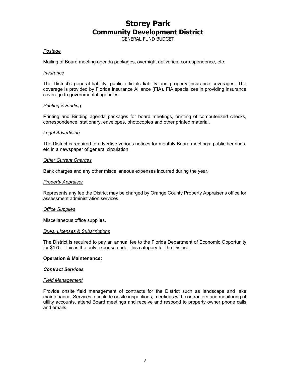GENERAL FUND BUDGET

#### *Postage*

Mailing of Board meeting agenda packages, overnight deliveries, correspondence, etc.

#### *Insurance*

The District's general liability, public officials liability and property insurance coverages. The coverage is provided by Florida Insurance Alliance (FIA). FIA specializes in providing insurance coverage to governmental agencies.

#### *Printing & Binding*

Printing and Binding agenda packages for board meetings, printing of computerized checks, correspondence, stationary, envelopes, photocopies and other printed material.

#### *Legal Advertising*

The District is required to advertise various notices for monthly Board meetings, public hearings, etc in a newspaper of general circulation.

#### *Other Current Charges*

Bank charges and any other miscellaneous expenses incurred during the year.

#### *Property Appraiser*

Represents any fee the District may be charged by Orange County Property Appraiser's office for assessment administration services.

#### *Office Supplies*

Miscellaneous office supplies.

#### *Dues, Licenses & Subscriptions*

The District is required to pay an annual fee to the Florida Department of Economic Opportunity for \$175. This is the only expense under this category for the District.

#### **Operation & Maintenance:**

#### *Contract Services*

#### *Field Management*

Provide onsite field management of contracts for the District such as landscape and lake maintenance. Services to include onsite inspections, meetings with contractors and monitoring of utility accounts, attend Board meetings and receive and respond to property owner phone calls and emails.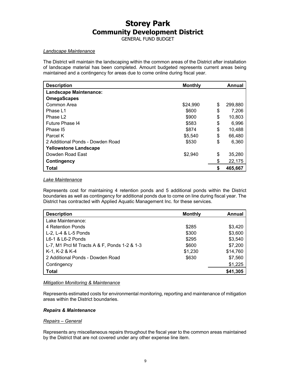GENERAL FUND BUDGET

#### *Landscape Maintenance*

The District will maintain the landscaping within the common areas of the District after installation of landscape material has been completed. Amount budgeted represents current areas being maintained and a contingency for areas due to come online during fiscal year.

| <b>Description</b>               | <b>Monthly</b> | Annual        |
|----------------------------------|----------------|---------------|
| <b>Landscape Maintenance:</b>    |                |               |
| <b>OmegaScapes</b>               |                |               |
| Common Area                      | \$24,990       | \$<br>299,880 |
| Phase L1                         | \$600          | \$<br>7,206   |
| Phase L <sub>2</sub>             | \$900          | \$<br>10,803  |
| Future Phase I4                  | \$583          | \$<br>6,996   |
| Phase I5                         | \$874          | \$<br>10,488  |
| Parcel K                         | \$5,540        | \$<br>66,480  |
| 2 Additional Ponds - Dowden Road | \$530          | \$<br>6,360   |
| <b>Yellowstone Landscape</b>     |                |               |
| Dowden Road East                 | \$2,940        | \$<br>35,280  |
| <b>Contingency</b>               |                | \$<br>22,175  |
| Total                            |                | \$<br>465,667 |

#### *Lake Maintenance*

Represents cost for maintaining 4 retention ponds and 5 additional ponds within the District boundaries as well as contingency for additional ponds due to come on line during fiscal year. The District has contracted with Applied Aquatic Management Inc. for these services.

| <b>Description</b>                           | <b>Monthly</b> | Annual   |
|----------------------------------------------|----------------|----------|
| Lake Maintenance:                            |                |          |
| 4 Retention Ponds                            | \$285          | \$3,420  |
| L-2, L-4 & L-5 Ponds                         | \$300          | \$3,600  |
| L6-1 & L6-2 Ponds                            | \$295          | \$3,540  |
| L-7, M1 Prcl M Tracts A & F, Ponds 1-2 & 1-3 | \$600          | \$7,200  |
| K-1, K-2 & K-4                               | \$1,230        | \$14,760 |
| 2 Additional Ponds - Dowden Road             | \$630          | \$7,560  |
| Contingency                                  |                | \$1,225  |
| <b>Total</b>                                 |                | \$41,305 |

#### *Mitigation Monitoring & Maintenance*

Represents estimated costs for environmental monitoring, reporting and maintenance of mitigation areas within the District boundaries.

#### *Repairs & Maintenance*

#### *Repairs – General*

Represents any miscellaneous repairs throughout the fiscal year to the common areas maintained by the District that are not covered under any other expense line item.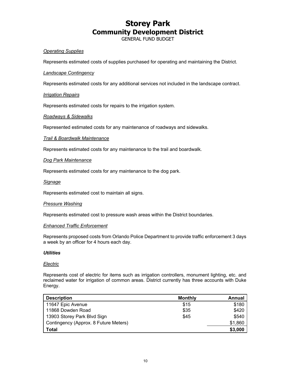GENERAL FUND BUDGET

#### *Operating Supplies*

Represents estimated costs of supplies purchased for operating and maintaining the District.

#### *Landscape Contingency*

Represents estimated costs for any additional services not included in the landscape contract.

#### *Irrigation Repairs*

Represents estimated costs for repairs to the irrigation system.

#### *Roadways & Sidewalks*

Represented estimated costs for any maintenance of roadways and sidewalks.

#### *Trail & Boardwalk Maintenance*

Represents estimated costs for any maintenance to the trail and boardwalk.

#### *Dog Park Maintenance*

Represents estimated costs for any maintenance to the dog park.

#### *Signage*

Represents estimated cost to maintain all signs.

#### *Pressure Washing*

Represents estimated cost to pressure wash areas within the District boundaries.

#### *Enhanced Traffic Enforcement*

Represents proposed costs from Orlando Police Department to provide traffic enforcement 3 days a week by an officer for 4 hours each day.

#### *Utilities*

#### *Electric*

Represents cost of electric for items such as irrigation controllers, monument lighting, etc. and reclaimed water for irrigation of common areas. District currently has three accounts with Duke Energy.

| <b>Description</b>                    | <b>Monthly</b> | Annual  |
|---------------------------------------|----------------|---------|
| 11647 Epic Avenue                     | \$15           | \$180   |
| 11868 Dowden Road                     | \$35           | \$420   |
| 13903 Storey Park Blvd Sign           | \$45           | \$540   |
| Contingency (Approx. 8 Future Meters) |                | \$1,860 |
| Total                                 |                | \$3,000 |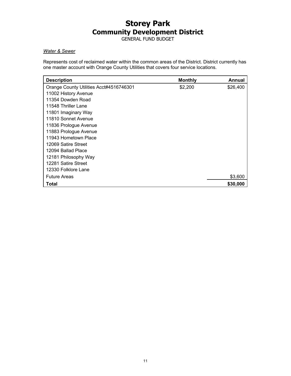GENERAL FUND BUDGET

#### *Water & Sewer*

Represents cost of reclaimed water within the common areas of the District. District currently has one master account with Orange County Utilities that covers four service locations.

| <b>Description</b>                      | <b>Monthly</b> | Annual   |
|-----------------------------------------|----------------|----------|
| Orange County Utilities Acct#4516746301 | \$2,200        | \$26,400 |
| 11002 History Avenue                    |                |          |
| 11354 Dowden Road                       |                |          |
| 11548 Thriller Lane                     |                |          |
| 11801 Imaginary Way                     |                |          |
| 11810 Sonnet Avenue                     |                |          |
| 11836 Prologue Avenue                   |                |          |
| 11883 Prologue Avenue                   |                |          |
| 11943 Hometown Place                    |                |          |
| 12069 Satire Street                     |                |          |
| 12094 Ballad Place                      |                |          |
| 12181 Philosophy Way                    |                |          |
| 12281 Satire Street                     |                |          |
| 12330 Folklore Lane                     |                |          |
| <b>Future Areas</b>                     |                | \$3,600  |
| Total                                   |                | \$30,000 |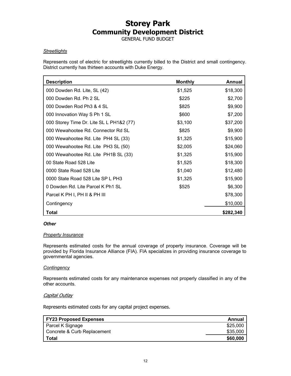GENERAL FUND BUDGET

#### *Streetlights*

Represents cost of electric for streetlights currently billed to the District and small contingency. District currently has thirteen accounts with Duke Energy.

| <b>Description</b>                       | <b>Monthly</b> | <b>Annual</b> |
|------------------------------------------|----------------|---------------|
| 000 Dowden Rd. Lite, SL (42)             | \$1,525        | \$18,300      |
| 000 Dowden Rd. Ph 2 SL                   | \$225          | \$2,700       |
| 000 Dowden Rod Ph3 & 4 SL                | \$825          | \$9,900       |
| 000 Innovation Way S Ph 1 SL             | \$600          | \$7,200       |
| 000 Storey Time Dr. Lite SL L PH1&2 (77) | \$3,100        | \$37,200      |
| 000 Wewahootee Rd. Connector Rd SL       | \$825          | \$9,900       |
| 000 Wewahootee Rd. Lite PH4 SL (33)      | \$1,325        | \$15,900      |
| 000 Wewahootee Rd. Lite PH3 SL (50)      | \$2,005        | \$24,060      |
| 000 Wewahootee Rd. Lite PH1B SL (33)     | \$1,325        | \$15,900      |
| 00 State Road 528 Lite                   | \$1,525        | \$18,300      |
| 0000 State Road 528 Lite                 | \$1,040        | \$12,480      |
| 0000 State Road 528 Lite SP L PH3        | \$1,325        | \$15,900      |
| 0 Dowden Rd. Lite Parcel K Ph1 SL        | \$525          | \$6,300       |
| Parcel K PH I, PH II & PH III            |                | \$78,300      |
| Contingency                              |                | \$10,000      |
| <b>Total</b>                             |                | \$282,340     |

#### *Other*

#### *Property Insurance*

Represents estimated costs for the annual coverage of property insurance. Coverage will be provided by Florida Insurance Alliance (FIA). FIA specializes in providing insurance coverage to governmental agencies.

#### *Contingency*

Represents estimated costs for any maintenance expenses not properly classified in any of the other accounts.

#### Capital Outlay

Represents estimated costs for any capital project expenses.

| <b>FY23 Proposed Expenses</b> | Annual   |
|-------------------------------|----------|
| Parcel K Signage              | \$25,000 |
| Concrete & Curb Replacement   | \$35,000 |
| Total                         | \$60,000 |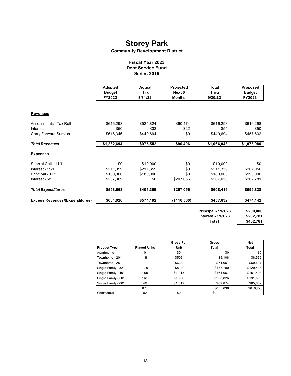#### **Community Development District**

#### **Fiscal Year 2023 Debt Service Fund Series 2015**

|                                       | Adopted<br><b>Budget</b> | Actual<br><b>Thru</b> | Projected<br>Next 6 | <b>Total</b><br><b>Thru</b> | Proposed<br><b>Budget</b> |
|---------------------------------------|--------------------------|-----------------------|---------------------|-----------------------------|---------------------------|
|                                       | FY2022                   | 3/31/22               | <b>Months</b>       | 9/30/22                     | FY2023                    |
| <b>Revenues</b>                       |                          |                       |                     |                             |                           |
| Assessments - Tax Roll                | \$616,298                | \$525,824             | \$90,474            | \$616,298                   | \$616,298                 |
| Interest                              | \$50                     | \$33                  | \$22                | \$55                        | \$50                      |
| <b>Carry Forward Surplus</b>          | \$616,346                | \$449,694             | \$0                 | \$449,694                   | \$457,632                 |
| <b>Total Revenues</b>                 | \$1,232,694              | \$975,552             | \$90,496            | \$1,066,048                 | \$1,073,980               |
| <b>Expenses</b>                       |                          |                       |                     |                             |                           |
| Special Call - 11/1                   | \$0                      | \$10,000              | \$0                 | \$10,000                    | \$0                       |
| Interest - 11/1                       | \$211,359                | \$211,359             | \$0                 | \$211,359                   | \$207,056                 |
| Principal - 11/1                      | \$180,000                | \$180,000             | \$0                 | \$180,000                   | \$190,000                 |
| Interest - 5/1                        | \$207,309                | \$0                   | \$207,056           | \$207,056                   | \$202,781                 |
| <b>Total Expenditures</b>             | \$598,668                | \$401,359             | \$207,056           | \$608,416                   | \$599,838                 |
| <b>Excess Revenues/(Expenditures)</b> | \$634,026                | \$574,192             | (\$116,560)         | \$457,632                   | \$474,142                 |
|                                       |                          |                       |                     | <b>Principal - 11/1/23</b>  | \$200,000                 |

**Interest - 11/1/23 Total** 

**\$202,781 \$402,781**

|                     |                      | <b>Gross Per</b> | Gross     | <b>Net</b> |
|---------------------|----------------------|------------------|-----------|------------|
| <b>Product Type</b> | <b>Platted Units</b> | Unit             | Total     | Total      |
| Apartments          | 0                    | \$0              | \$0       | \$0        |
| Townhome - 20'      | 18                   | \$506            | \$9,108   | \$8,562    |
| Townhome - 25'      | 117                  | \$633            | \$74.061  | \$69,617   |
| Single Family - 32' | 170                  | \$810            | \$137,700 | \$129,438  |
| Single Family - 40' | 159                  | \$1,013          | \$161,067 | \$151,403  |
| Single Family - 50' | 161                  | \$1,266          | \$203,826 | \$191,596  |
| Single Family - 60' | 46                   | \$1,519          | \$69,874  | \$65,682   |
|                     | 671                  |                  | \$655,636 | \$616,298  |
| Commercial          | 82                   | \$0              | \$0       |            |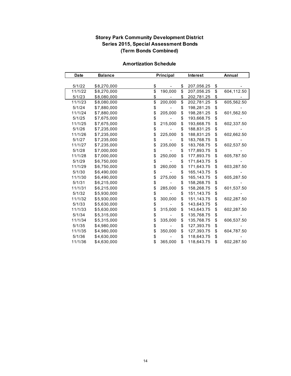### **Storey Park Community Development District Series 2015, Special Assessment Bonds (Term Bonds Combined)**

| <b>Date</b> | <b>Balance</b> |                 | Principal |                          | <b>Interest</b> |                 | Annual     |
|-------------|----------------|-----------------|-----------|--------------------------|-----------------|-----------------|------------|
|             |                |                 |           |                          |                 |                 |            |
| 5/1/22      | \$8,270,000    | \$              |           | \$                       | 207,056.25      | \$              |            |
| 11/1/22     | \$8,270,000    | $\overline{\$}$ | 190,000   | $\overline{\mathcal{S}}$ | 207,056.25      | $\overline{\$}$ | 604,112.50 |
| 5/1/23      | \$8,080,000    | \$              |           | \$                       | 202,781.25      | \$              |            |
| 11/1/23     | \$8,080,000    | \$              | 200,000   | \$                       | 202,781.25      | $\overline{\$}$ | 605,562.50 |
| 5/1/24      | \$7,880,000    | \$              |           | \$                       | 198,281.25      | \$              |            |
| 11/1/24     | \$7,880,000    | \$              | 205,000   | \$                       | 198,281.25      | \$              | 601,562.50 |
| 5/1/25      | \$7,675,000    | \$              |           | \$                       | 193,668.75      | \$              |            |
| 11/1/25     | \$7,675,000    | \$              | 215,000   | \$                       | 193,668.75      | \$              | 602,337.50 |
| 5/1/26      | \$7,235,000    | \$              |           | \$                       | 188,831.25      | \$              |            |
| 11/1/26     | \$7,235,000    | \$              | 225,000   | \$                       | 188,831.25      | \$              | 602,662.50 |
| 5/1/27      | \$7,235,000    | \$              |           | \$                       | 183,768.75      | \$              |            |
| 11/1/27     | \$7,235,000    | \$              | 235,000   | \$                       | 183,768.75      | \$              | 602,537.50 |
| 5/1/28      | \$7,000,000    | \$              |           | \$                       | 177,893.75      | \$              |            |
| 11/1/28     | \$7,000,000    | \$              | 250,000   | \$                       | 177,893.75      | \$              | 605,787.50 |
| 5/1/29      | \$6,750,000    | \$              |           | \$                       | 171,643.75      | \$              |            |
| 11/1/29     | \$6,750,000    | \$              | 260,000   | \$                       | 171,643.75      | \$              | 603,287.50 |
| 5/1/30      | \$6,490,000    | \$              |           | \$                       | 165,143.75      | \$              |            |
| 11/1/30     | \$6,490,000    | \$              | 275,000   | \$                       | 165,143.75      | \$              | 605,287.50 |
| 5/1/31      | \$6,215,000    | \$              |           | \$                       | 158,268.75      | \$              |            |
| 11/1/31     | \$6,215,000    | \$              | 285,000   | \$                       | 158,268.75      | \$              | 601,537.50 |
| 5/1/32      | \$5,930,000    | \$              |           | \$                       | 151,143.75      | \$              |            |
| 11/1/32     | \$5,930,000    | \$              | 300,000   | \$                       | 151,143.75      | \$              | 602,287.50 |
| 5/1/33      | \$5,630,000    | \$              |           | \$                       | 143,643.75      | \$              |            |
| 11/1/33     | \$5,630,000    | \$              | 315,000   | \$                       | 143,643.75      | \$              | 602,287.50 |
| 5/1/34      | \$5,315,000    | \$              |           | \$                       | 135,768.75      | \$              |            |
| 11/1/34     | \$5,315,000    | \$              | 335,000   | \$                       | 135,768.75      | \$              | 606,537.50 |
| 5/1/35      | \$4,980,000    | \$              |           | \$                       | 127,393.75      | \$              |            |
| 11/1/35     | \$4,980,000    | \$              | 350,000   | \$                       | 127,393.75      | \$              | 604,787.50 |
| 5/1/36      | \$4,630,000    | \$              |           | \$                       | 118,643.75      | \$              |            |
| 11/1/36     | \$4,630,000    | \$              | 365,000   | \$                       | 118,643.75      | \$              | 602.287.50 |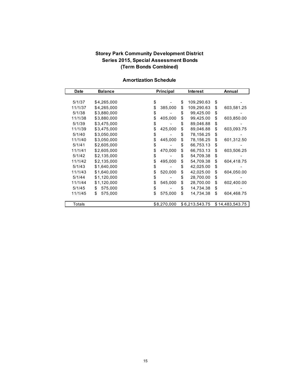### **Storey Park Community Development District Series 2015, Special Assessment Bonds (Term Bonds Combined)**

| <b>Date</b> | <b>Balance</b> | Principal<br><b>Interest</b> |    |                | Annual |                 |
|-------------|----------------|------------------------------|----|----------------|--------|-----------------|
|             |                |                              |    |                |        |                 |
| 5/1/37      | \$4,265,000    | \$                           | \$ | 109,290.63     | \$     |                 |
| 11/1/37     | \$4,265,000    | \$<br>385,000                | \$ | 109,290.63     | \$     | 603,581.25      |
| 5/1/38      | \$3,880,000    | \$                           | \$ | 99,425.00      | \$     |                 |
| 11/1/38     | \$3,880,000    | \$<br>405,000                | \$ | 99,425.00      | \$     | 603,850.00      |
| 5/1/39      | \$3,475,000    | \$                           | \$ | 89,046.88      | \$     |                 |
| 11/1/39     | \$3,475,000    | \$<br>425,000                | \$ | 89,046.88      | \$     | 603,093.75      |
| 5/1/40      | \$3,050,000    | \$                           | \$ | 78,156.25      | \$     |                 |
| 11/1/40     | \$3,050,000    | \$<br>445,000                | \$ | 78,156.25      | \$     | 601,312.50      |
| 5/1/41      | \$2,605,000    | \$                           | \$ | 66,753.13      | \$     |                 |
| 11/1/41     | \$2,605,000    | \$<br>470,000                | \$ | 66,753.13      | \$     | 603,506.25      |
| 5/1/42      | \$2,135,000    | \$                           | \$ | 54,709.38      | \$     |                 |
| 11/1/42     | \$2,135,000    | \$<br>495,000                | \$ | 54,709.38      | \$     | 604,418.75      |
| 5/1/43      | \$1,640,000    | \$                           | \$ | 42,025.00      | \$     |                 |
| 11/1/43     | \$1,640,000    | \$<br>520,000                | \$ | 42,025.00      | \$     | 604,050.00      |
| 5/1/44      | \$1,120,000    | \$                           | \$ | 28,700.00      | \$     |                 |
| 11/1/44     | \$1,120,000    | \$<br>545,000                | \$ | 28,700.00      | \$     | 602,400.00      |
| 5/1/45      | \$<br>575,000  | \$                           | \$ | 14,734.38      | \$     |                 |
| 11/1/45     | \$<br>575,000  | \$<br>575,000                | \$ | 14,734.38      | \$     | 604,468.75      |
|             |                |                              |    |                |        |                 |
| Totals      |                | \$8,270,000                  |    | \$6,213,543.75 |        | \$14,483,543.75 |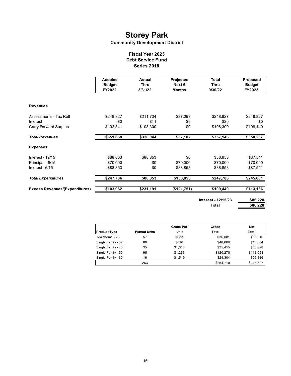#### **Community Development District**

#### **Fiscal Year 2023 Debt Service Fund Series 2018**

|                                       | Adopted<br><b>Budget</b><br>FY2022 | Actual<br><b>Thru</b><br>3/31/22 | Projected<br>Next 6<br><b>Months</b> | <b>Total</b><br><b>Thru</b><br>9/30/22 | Proposed<br><b>Budget</b><br>FY2023 |  |
|---------------------------------------|------------------------------------|----------------------------------|--------------------------------------|----------------------------------------|-------------------------------------|--|
| <b>Revenues</b>                       |                                    |                                  |                                      |                                        |                                     |  |
| Assessments - Tax Roll                | \$248,827                          | \$211,734                        | \$37,093                             | \$248,827                              | \$248,827                           |  |
| Interest                              | \$0                                | \$11                             | \$9                                  | \$20                                   | \$0                                 |  |
| <b>Carry Forward Surplus</b>          | \$102,841                          | \$108,300                        | \$0                                  | \$108,300                              | \$109,440                           |  |
| <b>Total Revenues</b>                 | \$351,668                          | \$320,044                        | \$37,102                             | \$357,146                              | \$358,267                           |  |
| <b>Expenses</b>                       |                                    |                                  |                                      |                                        |                                     |  |
| <b>Interest - 12/15</b>               | \$88,853                           | \$88,853                         | \$0                                  | \$88,853                               | \$87,541                            |  |
| Principal - 6/15                      | \$70,000                           | \$0                              | \$70,000                             | \$70,000                               | \$70,000                            |  |
| Interest - 6/15                       | \$88,853                           | \$0                              | \$88,853                             | \$88,853                               | \$87,541                            |  |
| <b>Total Expenditures</b>             | \$247,706                          | \$88,853                         | \$158,853                            | \$247,706                              | \$245,081                           |  |
| <b>Excess Revenues/(Expenditures)</b> | \$103,962                          | \$231,191                        | (\$121,751)                          | \$109,440                              | \$113,186                           |  |
|                                       |                                    |                                  |                                      | Interest - 12/15/23                    | \$86,228                            |  |

**Total** 

| 6.228<br>c n' |
|---------------|
|               |

|                     |                      | <b>Gross Per</b> | Gross     | Net       |
|---------------------|----------------------|------------------|-----------|-----------|
| <b>Product Type</b> | <b>Platted Units</b> | Unit             | Total     | Total     |
| Townhome - 25'      | 57                   | \$633            | \$36,081  | \$33,916  |
| Single Family - 32' | 60                   | \$810            | \$48,600  | \$45,684  |
| Single Family - 40' | 35                   | \$1,013          | \$35,455  | \$33,328  |
| Single Family - 50' | 95                   | \$1.266          | \$120.270 | \$113,054 |
| Single Family - 60' | 16                   | \$1.519          | \$24,304  | \$22,846  |
|                     | 263                  |                  | \$264.710 | \$248,827 |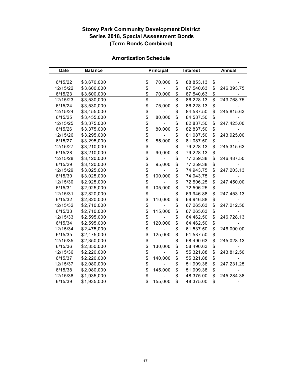## **Storey Park Community Development District Series 2018, Special Assessment Bonds (Term Bonds Combined)**

| <b>Date</b> | <b>Balance</b> |                 | Principal |                 | Interest  |                 | Annual     |  |
|-------------|----------------|-----------------|-----------|-----------------|-----------|-----------------|------------|--|
|             |                |                 |           |                 |           |                 |            |  |
| 6/15/22     | \$3,670,000    | \$              | 70,000    | \$              | 88,853.13 | $\frac{1}{2}$   |            |  |
| 12/15/22    | \$3,600,000    | $\overline{\$}$ |           | $\overline{\$}$ | 87,540.63 | $\overline{\$}$ | 246,393.75 |  |
| 6/15/23     | \$3,600,000    | \$              | 70,000    | \$              | 87,540.63 | $\frac{6}{9}$   |            |  |
| 12/15/23    | \$3,530,000    | \$              |           | $\overline{\$}$ | 86,228.13 |                 | 243,768.75 |  |
| 6/15/24     | \$3,530,000    | \$              | 75,000    | \$              | 86,228.13 | \$              |            |  |
| 12/15/24    | \$3,455,000    | \$              |           | \$              | 84,587.50 | \$              | 245,815.63 |  |
| 6/15/25     | \$3,455,000    | $\ddot{\$}$     | 80,000    | \$              | 84,587.50 | \$              |            |  |
| 12/15/25    | \$3,375,000    | \$              |           | \$              | 82,837.50 | \$              | 247,425.00 |  |
| 6/15/26     | \$3,375,000    | \$              | 80,000    | \$              | 82,837.50 | \$              |            |  |
| 12/15/26    | \$3,295,000    | \$<br>\$        |           | \$              | 81,087.50 | \$              | 243,925.00 |  |
| 6/15/27     | \$3,295,000    |                 | 85,000    | \$              | 81,087.50 | \$              |            |  |
| 12/15/27    | \$3,210,000    | \$<br>\$        |           | \$              | 79,228.13 | \$              | 245,315.63 |  |
| 6/15/28     | \$3,210,000    |                 | 90,000    | \$              | 79,228.13 | \$              |            |  |
| 12/15/28    | \$3,120,000    | \$<br>\$        |           | \$              | 77,259.38 | \$              | 246,487.50 |  |
| 6/15/29     | \$3,120,000    |                 | 95,000    | \$              | 77,259.38 | \$              |            |  |
| 12/15/29    | \$3,025,000    | \$              |           | \$              | 74,943.75 | \$              | 247,203.13 |  |
| 6/15/30     | \$3,025,000    | \$              | 100,000   | \$              | 74,943.75 | \$              |            |  |
| 12/15/30    | \$2,925,000    | \$              |           | \$              | 72,506.25 | \$              | 247,450.00 |  |
| 6/15/31     | \$2,925,000    | \$              | 105,000   | \$              | 72,506.25 | \$              |            |  |
| 12/15/31    | \$2,820,000    | \$              |           | \$              | 69,946.88 | \$              | 247,453.13 |  |
| 6/15/32     | \$2,820,000    | \$              | 110,000   | \$              | 69,946.88 | \$              |            |  |
| 12/15/32    | \$2,710,000    | \$              |           | \$              | 67,265.63 | \$              | 247,212.50 |  |
| 6/15/33     | \$2,710,000    | \$              | 115,000   | \$              | 67,265.63 | \$              |            |  |
| 12/15/33    | \$2,595,000    | \$              |           | \$              | 64,462.50 | \$              | 246,728.13 |  |
| 6/15/34     | \$2,595,000    | \$              | 120,000   | \$              | 64,462.50 | \$              |            |  |
| 12/15/34    | \$2,475,000    | \$              |           | \$              | 61,537.50 | \$              | 246,000.00 |  |
| 6/15/35     | \$2,475,000    | \$              | 125,000   | \$              | 61,537.50 | \$              |            |  |
| 12/15/35    | \$2,350,000    | \$<br>\$        |           | \$              | 58,490.63 | \$              | 245,028.13 |  |
| 6/15/36     | \$2,350,000    |                 | 130,000   | \$              | 58,490.63 | \$              |            |  |
| 12/15/36    | \$2,220,000    | \$              |           | \$              | 55,321.88 | \$              | 243,812.50 |  |
| 6/15/37     | \$2,220,000    | \$              | 140,000   | \$              | 55,321.88 | \$              |            |  |
| 12/15/37    | \$2,080,000    | \$              |           | \$              | 51,909.38 | \$              | 247,231.25 |  |
| 6/15/38     | \$2,080,000    | \$              | 145,000   | \$              | 51,909.38 | \$              |            |  |
| 12/15/38    | \$1,935,000    | \$              |           | \$              | 48,375.00 | \$              | 245,284.38 |  |
| 6/15/39     | \$1,935,000    | \$              | 155,000   | \$              | 48,375.00 | \$              |            |  |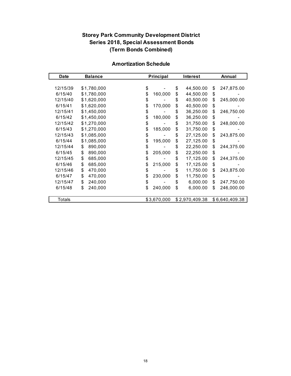## **Storey Park Community Development District Series 2018, Special Assessment Bonds (Term Bonds Combined)**

| <b>Amortization Schedule</b> |  |
|------------------------------|--|
|------------------------------|--|

| Date     | <b>Balance</b> | Principal     | <b>Interest</b> |                | Annual |                |
|----------|----------------|---------------|-----------------|----------------|--------|----------------|
|          |                |               |                 |                |        |                |
| 12/15/39 | \$1,780,000    | \$            | \$              | 44,500.00      | \$     | 247,875.00     |
| 6/15/40  | \$1,780,000    | \$<br>160,000 | \$              | 44,500.00      | \$     |                |
| 12/15/40 | \$1,620,000    | \$            | \$              | 40,500.00      | \$     | 245,000.00     |
| 6/15/41  | \$1,620,000    | \$<br>170,000 | \$              | 40,500.00      | \$     |                |
| 12/15/41 | \$1,450,000    | \$            | \$              | 36,250.00      | \$     | 246,750.00     |
| 6/15/42  | \$1,450,000    | \$<br>180,000 | \$              | 36,250.00      | \$     |                |
| 12/15/42 | \$1,270,000    | \$            | \$              | 31,750.00      | \$     | 248,000.00     |
| 6/15/43  | \$1,270,000    | \$<br>185,000 | \$              | 31,750.00      | \$     |                |
| 12/15/43 | \$1,085,000    | \$            | \$              | 27,125.00      | \$     | 243,875.00     |
| 6/15/44  | \$1,085,000    | \$<br>195,000 | \$              | 27,125.00      | \$     |                |
| 12/15/44 | 890,000<br>\$  | \$            | \$              | 22,250.00      | \$     | 244,375.00     |
| 6/15/45  | \$<br>890,000  | \$<br>205,000 | \$              | 22,250.00      | \$     |                |
| 12/15/45 | \$<br>685,000  | \$            | \$              | 17,125.00      | \$     | 244,375.00     |
| 6/15/46  | \$<br>685,000  | \$<br>215,000 | \$              | 17,125.00      | \$     |                |
| 12/15/46 | \$<br>470,000  | \$            | \$              | 11,750.00      | \$     | 243,875.00     |
| 6/15/47  | \$<br>470,000  | \$<br>230,000 | \$              | 11,750.00      | \$     |                |
| 12/15/47 | \$<br>240,000  | \$            | \$              | 6,000.00       | \$     | 247,750.00     |
| 6/15/48  | 240,000<br>\$  | \$<br>240,000 | \$              | 6,000.00       | \$     | 246,000.00     |
|          |                |               |                 |                |        |                |
| Totals   |                | \$3,670,000   |                 | \$2,970,409.38 |        | \$6,640,409.38 |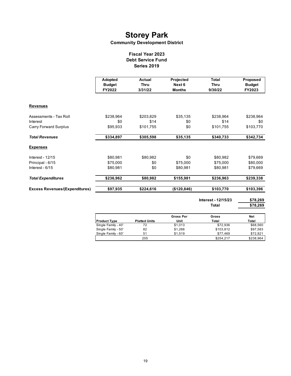#### **Community Development District**

#### **Fiscal Year 2023 Debt Service Fund Series 2019**

|                                       | Adopted<br><b>Budget</b><br>FY2022 | Actual<br>Thru<br>3/31/22 | Projected<br>Next 6<br><b>Months</b> | <b>Total</b><br>Thru<br>9/30/22 | Proposed<br><b>Budget</b><br>FY2023 |
|---------------------------------------|------------------------------------|---------------------------|--------------------------------------|---------------------------------|-------------------------------------|
| <b>Revenues</b>                       |                                    |                           |                                      |                                 |                                     |
| Assessments - Tax Roll                | \$238,964                          | \$203,829                 | \$35,135                             | \$238,964                       | \$238,964                           |
| Interest                              | \$0                                | \$14                      | \$0                                  | \$14                            | \$0                                 |
| <b>Carry Forward Surplus</b>          | \$95,933                           | \$101,755                 | \$0                                  | \$101,755                       | \$103,770                           |
| <b>Total Revenues</b>                 | \$334,897                          | \$305,598                 | \$35,135                             | \$340,733                       | \$342,734                           |
| <b>Expenses</b>                       |                                    |                           |                                      |                                 |                                     |
| Interest - 12/15                      | \$80,981                           | \$80,982                  | \$0                                  | \$80,982                        | \$79,669                            |
| Principal - 6/15                      | \$75,000                           | \$0                       | \$75,000                             | \$75,000                        | \$80,000                            |
| Interest - $6/15$                     | \$80,981                           | \$0                       | \$80,981                             | \$80,981                        | \$79,669                            |
| <b>Total Expenditures</b>             | \$236,962                          | \$80,982                  | \$155,981                            | \$236,963                       | \$239,338                           |
| <b>Excess Revenues/(Expenditures)</b> | \$97,935                           | \$224,616                 | (\$120,846)                          | \$103,770                       | \$103,396                           |
|                                       |                                    |                           |                                      |                                 |                                     |

**\$78,269 \$78,269 Interest - 12/15/23 Total** 

|                     |                      | <b>Gross Per</b> | Gross     | Net       |
|---------------------|----------------------|------------------|-----------|-----------|
| <b>Product Type</b> | <b>Platted Units</b> | Unit             | Total     | Total     |
| Single Family - 40' | 72                   | \$1,013          | \$72.936  | \$68,560  |
| Single Family - 50' | 82                   | \$1.266          | \$103,812 | \$97.583  |
| Single Family - 60' | 51                   | \$1.519          | \$77.469  | \$72.821  |
|                     | 205                  |                  | \$254.217 | \$238,964 |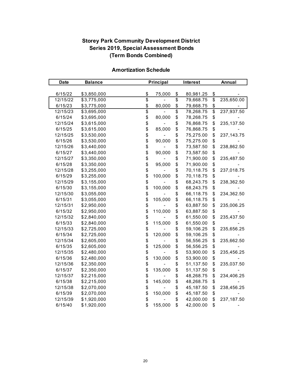## **Storey Park Community Development District Series 2019, Special Assessment Bonds (Term Bonds Combined)**

| <b>Date</b> | <b>Balance</b> |                 | Principal |                 | Interest  | Annual          |              |
|-------------|----------------|-----------------|-----------|-----------------|-----------|-----------------|--------------|
|             |                |                 |           |                 |           |                 |              |
| 6/15/22     | \$3,850,000    | \$              | 75,000    | \$              | 80,981.25 | \$              |              |
| 12/15/22    | \$3,775,000    | $\overline{\$}$ |           | \$              | 79,668.75 | \$              | 235,650.00   |
| 6/15/23     | \$3,775,000    | \$              | 80,000    | \$              | 79,668.75 | $\frac{1}{2}$   |              |
| 12/15/23    | \$3,695,000    | \$              |           | $\overline{\$}$ | 78,268.75 | $\overline{\$}$ | 237,937.50   |
| 6/15/24     | \$3,695,000    | \$              | 80,000    | \$              | 78,268.75 | \$              |              |
| 12/15/24    | \$3,615,000    | \$              |           | \$              | 76,868.75 | \$              | 235,137.50   |
| 6/15/25     | \$3,615,000    | \$              | 85,000    | \$              | 76,868.75 | \$              |              |
| 12/15/25    | \$3,530,000    | \$              |           | \$              | 75,275.00 | \$              | 237, 143. 75 |
| 6/15/26     | \$3,530,000    | \$              | 90,000    | \$              | 75,275.00 | \$              |              |
| 12/15/26    | \$3,440,000    | \$              |           | \$              | 73,587.50 | \$              | 238,862.50   |
| 6/15/27     | \$3,440,000    | \$              | 90,000    | \$              | 73,587.50 | \$              |              |
| 12/15/27    | \$3,350,000    | \$<br>\$        |           | \$              | 71,900.00 | \$              | 235,487.50   |
| 6/15/28     | \$3,350,000    |                 | 95,000    | \$              | 71,900.00 | \$              |              |
| 12/15/28    | \$3,255,000    | \$              |           | \$              | 70,118.75 | \$              | 237,018.75   |
| 6/15/29     | \$3,255,000    | \$              | 100,000   | \$              | 70,118.75 | \$              |              |
| 12/15/29    | \$3,155,000    | \$              |           | \$              | 68,243.75 | \$              | 238,362.50   |
| 6/15/30     | \$3,155,000    | \$              | 100,000   | \$              | 68,243.75 | \$              |              |
| 12/15/30    | \$3,055,000    | \$              |           | \$              | 66,118.75 | \$              | 234,362.50   |
| 6/15/31     | \$3,055,000    | \$              | 105,000   | \$              | 66,118.75 | \$              |              |
| 12/15/31    | \$2,950,000    | \$              |           | \$              | 63,887.50 | \$              | 235,006.25   |
| 6/15/32     | \$2,950,000    | \$              | 110,000   | \$              | 63,887.50 | \$              |              |
| 12/15/32    | \$2,840,000    | \$              |           | \$              | 61,550.00 | \$              | 235,437.50   |
| 6/15/33     | \$2,840,000    | \$              | 115,000   | \$              | 61,550.00 | \$              |              |
| 12/15/33    | \$2,725,000    | \$              |           | \$              | 59,106.25 | \$              | 235,656.25   |
| 6/15/34     | \$2,725,000    | \$              | 120,000   | \$              | 59,106.25 | \$              |              |
| 12/15/34    | \$2,605,000    | \$              |           | \$              | 56,556.25 | \$              | 235,662.50   |
| 6/15/35     | \$2,605,000    | \$              | 125,000   | \$              | 56,556.25 | \$              |              |
| 12/15/35    | \$2,480,000    | \$              |           | \$              | 53,900.00 | \$              | 235,456.25   |
| 6/15/36     | \$2,480,000    | \$              | 130,000   | \$              | 53,900.00 | \$              |              |
| 12/15/36    | \$2,350,000    | \$              |           | \$              | 51,137.50 | \$              | 235,037.50   |
| 6/15/37     | \$2,350,000    | \$              | 135,000   | \$              | 51,137.50 | \$              |              |
| 12/15/37    | \$2,215,000    | \$              |           | \$              | 48,268.75 | \$              | 234,406.25   |
| 6/15/38     | \$2,215,000    | \$              | 145,000   | \$              | 48,268.75 | \$              |              |
| 12/15/38    | \$2,070,000    | \$              |           | \$              | 45,187.50 | \$              | 238,456.25   |
| 6/15/39     | \$2,070,000    | \$              | 150,000   | \$              | 45,187.50 | \$              |              |
| 12/15/39    | \$1,920,000    | \$              |           | \$              | 42,000.00 | \$              | 237,187.50   |
| 6/15/40     | \$1,920,000    | \$              | 155,000   | \$              | 42,000.00 | \$              |              |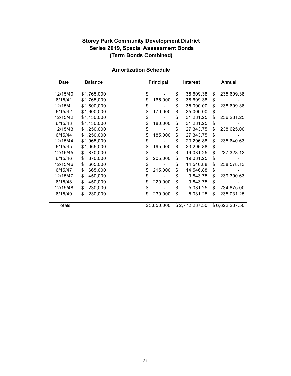## **Storey Park Community Development District Series 2019, Special Assessment Bonds (Term Bonds Combined)**

| <b>Date</b> | <b>Balance</b> | <b>Principal</b> |    | <b>Interest</b> |    | Annual         |  |
|-------------|----------------|------------------|----|-----------------|----|----------------|--|
|             |                |                  |    |                 |    |                |  |
| 12/15/40    | \$1,765,000    | \$               | \$ | 38,609.38       | \$ | 235,609.38     |  |
| 6/15/41     | \$1,765,000    | \$<br>165,000    | \$ | 38,609.38       | \$ |                |  |
| 12/15/41    | \$1,600,000    | \$               | \$ | 35,000.00       | \$ | 238,609.38     |  |
| 6/15/42     | \$1,600,000    | \$<br>170,000    | \$ | 35,000.00       | \$ |                |  |
| 12/15/42    | \$1,430,000    | \$               | \$ | 31,281.25       | \$ | 236,281.25     |  |
| 6/15/43     | \$1,430,000    | \$<br>180,000    | \$ | 31,281.25       | \$ |                |  |
| 12/15/43    | \$1,250,000    | \$               | \$ | 27,343.75       | \$ | 238,625.00     |  |
| 6/15/44     | \$1,250,000    | \$<br>185,000    | \$ | 27,343.75       | \$ |                |  |
| 12/15/44    | \$1,065,000    | \$               | \$ | 23,296.88       | \$ | 235,640.63     |  |
| 6/15/45     | \$1,065,000    | \$<br>195,000    | \$ | 23,296.88       | \$ |                |  |
| 12/15/45    | 870,000<br>\$  | \$               | \$ | 19,031.25       | \$ | 237,328.13     |  |
| 6/15/46     | \$<br>870,000  | \$<br>205,000    | \$ | 19,031.25       | \$ |                |  |
| 12/15/46    | \$<br>665,000  | \$               | \$ | 14,546.88       | \$ | 238,578.13     |  |
| 6/15/47     | \$<br>665,000  | \$<br>215,000    | \$ | 14,546.88       | \$ |                |  |
| 12/15/47    | \$<br>450,000  | \$               | \$ | 9,843.75        | \$ | 239,390.63     |  |
| 6/15/48     | \$<br>450,000  | \$<br>220,000    | \$ | 9,843.75        | \$ |                |  |
| 12/15/48    | \$<br>230,000  | \$               | \$ | 5,031.25        | \$ | 234,875.00     |  |
| 6/15/49     | \$<br>230,000  | \$<br>230,000    | \$ | 5,031.25        | \$ | 235,031.25     |  |
|             |                |                  |    |                 |    |                |  |
| Totals      |                | \$3,850,000      |    | \$2,772,237.50  |    | \$6,622,237.50 |  |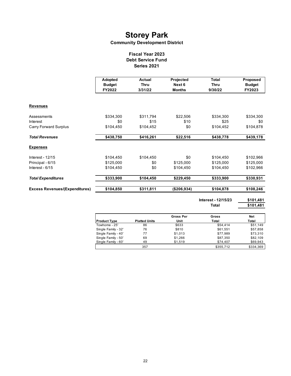#### **Community Development District**

#### **Fiscal Year 2023 Debt Service Fund Series 2021**

|                                       | Adopted<br><b>Budget</b><br>FY2022 | Actual<br>Thru<br>3/31/22 | Projected<br>Next 6<br><b>Months</b> | <b>Total</b><br>Thru<br>9/30/22 | Proposed<br><b>Budget</b><br>FY2023 |
|---------------------------------------|------------------------------------|---------------------------|--------------------------------------|---------------------------------|-------------------------------------|
| <b>Revenues</b>                       |                                    |                           |                                      |                                 |                                     |
| Assessments                           | \$334,300                          | \$311,794                 | \$22,506                             | \$334,300                       | \$334,300                           |
| Interest                              | \$0                                | \$15                      | \$10                                 | \$25                            | \$0                                 |
| <b>Carry Forward Surplus</b>          | \$104,450                          | \$104,452                 | \$0                                  | \$104,452                       | \$104,878                           |
| <b>Total Revenues</b>                 | \$438,750                          | \$416,261                 | \$22,516                             | \$438,778                       | \$439,178                           |
| <b>Expenses</b>                       |                                    |                           |                                      |                                 |                                     |
| <b>Interest - 12/15</b>               | \$104,450                          | \$104,450                 | \$0                                  | \$104,450                       | \$102,966                           |
| Principal - 6/15                      | \$125,000                          | \$0                       | \$125,000                            | \$125,000                       | \$125,000                           |
| Interest - 6/15                       | \$104,450                          | \$0                       | \$104,450                            | \$104,450                       | \$102,966                           |
| <b>Total Expenditures</b>             | \$333,900                          | \$104,450                 | \$229,450                            | \$333,900                       | \$330,931                           |
| <b>Excess Revenues/(Expenditures)</b> | \$104,850                          | \$311,811                 | (\$206,934)                          | \$104,878                       | \$108,246                           |

 $\mathsf{r}$ 

**\$101,481 \$101,481 Total Interest - 12/15/23**

|                     |                      | <b>Gross Per</b> | Gross     | <b>Net</b> |
|---------------------|----------------------|------------------|-----------|------------|
| <b>Product Type</b> | <b>Platted Units</b> | Unit             | Total     | Total      |
| Towhome - 25'       | 86                   | \$633            | \$54,414  | \$51.149   |
| Single Family - 32' | 76                   | \$810            | \$61.551  | \$57,858   |
| Single Family - 40' | 77                   | \$1,013          | \$77,989  | \$73,310   |
| Single Family - 50' | 69                   | \$1,266          | \$87,350  | \$82.109   |
| Single Family - 60' | 49                   | \$1.519          | \$74,407  | \$69,943   |
|                     | 357                  |                  | \$355.712 | \$334.369  |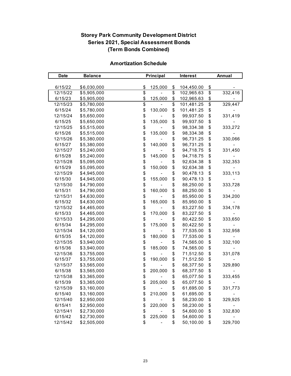## **Storey Park Community Development District Series 2021, Special Assessment Bonds (Term Bonds Combined)**

| <b>Date</b> | <b>Balance</b> | Principal     |    | <b>Interest</b> |                          | Annual  |  |
|-------------|----------------|---------------|----|-----------------|--------------------------|---------|--|
|             |                |               |    |                 |                          |         |  |
| 6/15/22     | \$6,030,000    | \$<br>125,000 | \$ | 104,450.00      | \$                       |         |  |
| 12/15/22    | \$5,905,000    | \$            | \$ | 102,965.63      | $\overline{\mathbf{S}}$  | 332,416 |  |
| 6/15/23     | \$5,905,000    | \$<br>125,000 | \$ | 102,965.63      | \$                       |         |  |
| 12/15/23    | \$5,780,000    | \$            | \$ | 101,481.25      | $\overline{\mathcal{E}}$ | 329,447 |  |
| 6/15/24     | \$5,780,000    | \$<br>130,000 | \$ | 101,481.25      | \$                       |         |  |
| 12/15/24    | \$5,650,000    | \$            | \$ | 99,937.50       | \$                       | 331,419 |  |
| 6/15/25     | \$5,650,000    | \$<br>135,000 | \$ | 99,937.50       | \$                       |         |  |
| 12/15/25    | \$5,515,000    | \$            | \$ | 98,334.38       | \$                       | 333,272 |  |
| 6/15/26     | \$5,515,000    | \$<br>135,000 | \$ | 98,334.38       | \$                       |         |  |
| 12/15/26    | \$5,380,000    | \$            | \$ | 96,731.25       | \$                       | 330,066 |  |
| 6/15/27     | \$5,380,000    | \$<br>140,000 | \$ | 96,731.25       | \$                       |         |  |
| 12/15/27    | \$5,240,000    | \$            | \$ | 94,718.75       | \$                       | 331,450 |  |
| 6/15/28     | \$5,240,000    | \$<br>145,000 | \$ | 94,718.75       | \$                       |         |  |
| 12/15/28    | \$5,095,000    | \$            | \$ | 92,634.38       | \$                       | 332,353 |  |
| 6/15/29     | \$5,095,000    | \$<br>150,000 | \$ | 92,634.38       | \$                       |         |  |
| 12/15/29    | \$4,945,000    | \$            | \$ | 90,478.13       | \$                       | 333,113 |  |
| 6/15/30     | \$4,945,000    | \$<br>155,000 | \$ | 90,478.13       | \$                       |         |  |
| 12/15/30    | \$4,790,000    | \$            | \$ | 88,250.00       | \$                       | 333,728 |  |
| 6/15/31     | \$4,790,000    | \$<br>160,000 | \$ | 88,250.00       | \$                       |         |  |
| 12/15/31    | \$4,630,000    | \$            | \$ | 85,950.00       | \$                       | 334,200 |  |
| 6/15/32     | \$4,630,000    | \$<br>165,000 | \$ | 85,950.00       | \$                       |         |  |
| 12/15/32    | \$4,465,000    | \$            | \$ | 83,227.50       | \$                       | 334,178 |  |
| 6/15/33     | \$4,465,000    | \$<br>170,000 | \$ | 83,227.50       | \$                       |         |  |
| 12/15/33    | \$4,295,000    | \$            | \$ | 80,422.50       | \$                       | 333,650 |  |
| 6/15/34     | \$4,295,000    | \$<br>175,000 | \$ | 80,422.50       | \$                       |         |  |
| 12/15/34    | \$4,120,000    | \$            | \$ | 77,535.00       | \$                       | 332,958 |  |
| 6/15/35     | \$4,120,000    | \$<br>180,000 | \$ | 77,535.00       | \$                       |         |  |
| 12/15/35    | \$3,940,000    | \$            | \$ | 74,565.00       | \$                       | 332,100 |  |
| 6/15/36     | \$3,940,000    | \$<br>185,000 | \$ | 74,565.00       | \$                       |         |  |
| 12/15/36    | \$3,755,000    | \$            | \$ | 71,512.50       | \$                       | 331,078 |  |
| 6/15/37     | \$3,755,000    | \$<br>190,000 | \$ | 71,512.50       | \$                       |         |  |
| 12/15/37    | \$3,565,000    | \$            | \$ | 68,377.50       | \$                       | 329,890 |  |
| 6/15/38     | \$3,565,000    | \$<br>200,000 | \$ | 68,377.50       | \$                       |         |  |
| 12/15/38    | \$3,365,000    | \$            | \$ | 65,077.50       | \$                       | 333,455 |  |
| 6/15/39     | \$3,365,000    | \$<br>205,000 | \$ | 65,077.50       | \$                       |         |  |
| 12/15/39    | \$3,160,000    | \$            | \$ | 61,695.00       | \$                       | 331,773 |  |
| 6/15/40     | \$3,160,000    | \$<br>210,000 | \$ | 61,695.00       | \$                       |         |  |
| 12/15/40    | \$2,950,000    | \$            | \$ | 58,230.00       | \$                       | 329,925 |  |
| 6/15/41     | \$2,950,000    | \$<br>220,000 | \$ | 58,230.00       | \$                       |         |  |
| 12/15/41    | \$2,730,000    | \$            | \$ | 54,600.00       | \$                       | 332,830 |  |
| 6/15/42     | \$2,730,000    | \$<br>225,000 | \$ | 54,600.00       | \$                       |         |  |
| 12/15/42    | \$2,505,000    | \$            | \$ | 50,100.00       | \$                       | 329,700 |  |